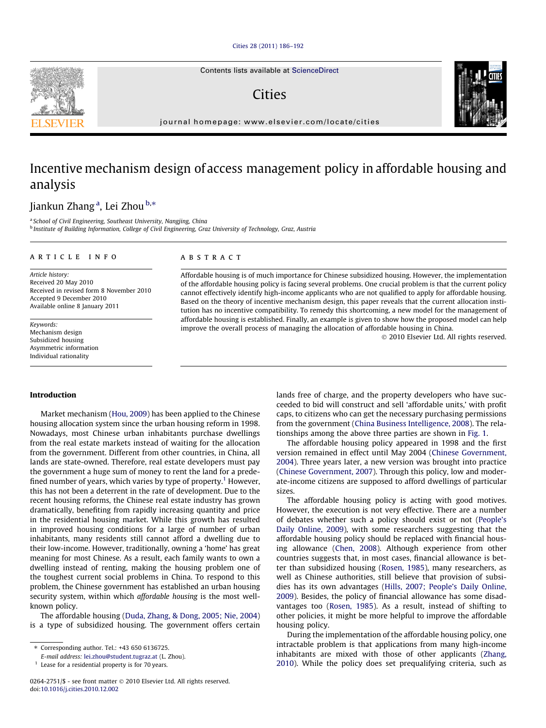#### [Cities 28 \(2011\) 186–192](http://dx.doi.org/10.1016/j.cities.2010.12.002)

Contents lists available at [ScienceDirect](http://www.sciencedirect.com/science/journal/02642751)

### Cities

journal homepage: [www.elsevier.com/locate/cities](http://www.elsevier.com/locate/cities)

## Incentive mechanism design of access management policy in affordable housing and analysis

Jiankun Zhang<sup>a</sup>, Lei Zhou<sup>b,</sup>\*

<sup>a</sup> School of Civil Engineering, Southeast University, Nangjing, China <sup>b</sup> Institute of Building Information, College of Civil Engineering, Graz University of Technology, Graz, Austria

#### article info

Article history: Received 20 May 2010 Received in revised form 8 November 2010 Accepted 9 December 2010 Available online 8 January 2011

Keywords: Mechanism design Subsidized housing Asymmetric information Individual rationality

#### ABSTRACT

Affordable housing is of much importance for Chinese subsidized housing. However, the implementation of the affordable housing policy is facing several problems. One crucial problem is that the current policy cannot effectively identify high-income applicants who are not qualified to apply for affordable housing. Based on the theory of incentive mechanism design, this paper reveals that the current allocation institution has no incentive compatibility. To remedy this shortcoming, a new model for the management of affordable housing is established. Finally, an example is given to show how the proposed model can help improve the overall process of managing the allocation of affordable housing in China.

- 2010 Elsevier Ltd. All rights reserved.

#### Introduction

Market mechanism [\(Hou, 2009](#page--1-0)) has been applied to the Chinese housing allocation system since the urban housing reform in 1998. Nowadays, most Chinese urban inhabitants purchase dwellings from the real estate markets instead of waiting for the allocation from the government. Different from other countries, in China, all lands are state-owned. Therefore, real estate developers must pay the government a huge sum of money to rent the land for a predefined number of years, which varies by type of property.<sup>1</sup> However, this has not been a deterrent in the rate of development. Due to the recent housing reforms, the Chinese real estate industry has grown dramatically, benefiting from rapidly increasing quantity and price in the residential housing market. While this growth has resulted in improved housing conditions for a large of number of urban inhabitants, many residents still cannot afford a dwelling due to their low-income. However, traditionally, owning a 'home' has great meaning for most Chinese. As a result, each family wants to own a dwelling instead of renting, making the housing problem one of the toughest current social problems in China. To respond to this problem, the Chinese government has established an urban housing security system, within which affordable housing is the most wellknown policy.

The affordable housing ([Duda, Zhang, & Dong, 2005; Nie, 2004\)](#page--1-0) is a type of subsidized housing. The government offers certain lands free of charge, and the property developers who have succeeded to bid will construct and sell 'affordable units,' with profit caps, to citizens who can get the necessary purchasing permissions from the government [\(China Business Intelligence, 2008](#page--1-0)). The relationships among the above three parties are shown in [Fig. 1.](#page-1-0)

The affordable housing policy appeared in 1998 and the first version remained in effect until May 2004 [\(Chinese Government,](#page--1-0) [2004\)](#page--1-0). Three years later, a new version was brought into practice ([Chinese Government, 2007\)](#page--1-0). Through this policy, low and moderate-income citizens are supposed to afford dwellings of particular sizes.

The affordable housing policy is acting with good motives. However, the execution is not very effective. There are a number of debates whether such a policy should exist or not [\(People's](#page--1-0) [Daily Online, 2009](#page--1-0)), with some researchers suggesting that the affordable housing policy should be replaced with financial housing allowance ([Chen, 2008](#page--1-0)). Although experience from other countries suggests that, in most cases, financial allowance is better than subsidized housing [\(Rosen, 1985](#page--1-0)), many researchers, as well as Chinese authorities, still believe that provision of subsidies has its own advantages ([Hills, 2007; People's Daily Online,](#page--1-0) [2009\)](#page--1-0). Besides, the policy of financial allowance has some disadvantages too [\(Rosen, 1985\)](#page--1-0). As a result, instead of shifting to other policies, it might be more helpful to improve the affordable housing policy.

During the implementation of the affordable housing policy, one intractable problem is that applications from many high-income inhabitants are mixed with those of other applicants ([Zhang,](#page--1-0) [2010\)](#page--1-0). While the policy does set prequalifying criteria, such as





<sup>⇑</sup> Corresponding author. Tel.: +43 650 6136725.

E-mail address: [lei.zhou@student.tugraz.at](mailto:lei.zhou@student.tugraz.at) (L. Zhou).

 $1$  Lease for a residential property is for 70 years.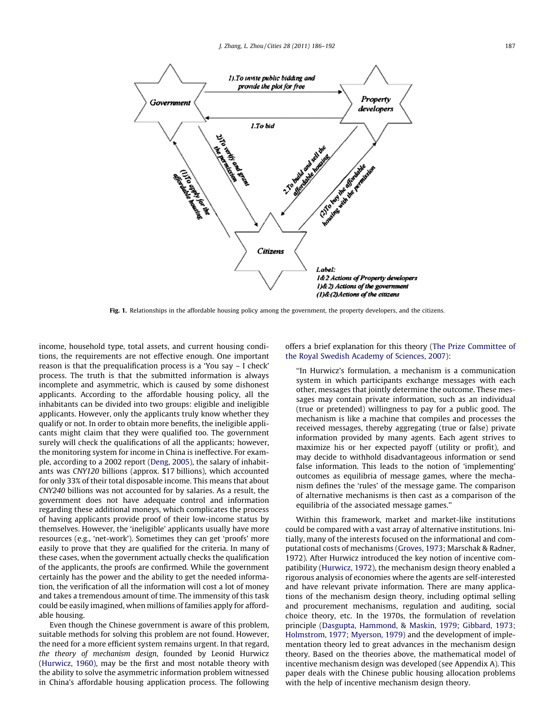<span id="page-1-0"></span>

Fig. 1. Relationships in the affordable housing policy among the government, the property developers, and the citizens.

income, household type, total assets, and current housing conditions, the requirements are not effective enough. One important reason is that the prequalification process is a 'You say – I check' process. The truth is that the submitted information is always incomplete and asymmetric, which is caused by some dishonest applicants. According to the affordable housing policy, all the inhabitants can be divided into two groups: eligible and ineligible applicants. However, only the applicants truly know whether they qualify or not. In order to obtain more benefits, the ineligible applicants might claim that they were qualified too. The government surely will check the qualifications of all the applicants; however, the monitoring system for income in China is ineffective. For example, according to a 2002 report [\(Deng, 2005\)](#page--1-0), the salary of inhabitants was CNY120 billions (approx. \$17 billions), which accounted for only 33% of their total disposable income. This means that about CNY240 billions was not accounted for by salaries. As a result, the government does not have adequate control and information regarding these additional moneys, which complicates the process of having applicants provide proof of their low-income status by themselves. However, the 'ineligible' applicants usually have more resources (e.g., 'net-work'). Sometimes they can get 'proofs' more easily to prove that they are qualified for the criteria. In many of these cases, when the government actually checks the qualification of the applicants, the proofs are confirmed. While the government certainly has the power and the ability to get the needed information, the verification of all the information will cost a lot of money and takes a tremendous amount of time. The immensity of this task could be easily imagined, when millions of families apply for affordable housing.

Even though the Chinese government is aware of this problem, suitable methods for solving this problem are not found. However, the need for a more efficient system remains urgent. In that regard, the theory of mechanism design, founded by Leonid Hurwicz ([Hurwicz, 1960\)](#page--1-0), may be the first and most notable theory with the ability to solve the asymmetric information problem witnessed in China's affordable housing application process. The following offers a brief explanation for this theory [\(The Prize Committee of](#page--1-0) [the Royal Swedish Academy of Sciences, 2007](#page--1-0)):

''In Hurwicz's formulation, a mechanism is a communication system in which participants exchange messages with each other, messages that jointly determine the outcome. These messages may contain private information, such as an individual (true or pretended) willingness to pay for a public good. The mechanism is like a machine that compiles and processes the received messages, thereby aggregating (true or false) private information provided by many agents. Each agent strives to maximize his or her expected payoff (utility or profit), and may decide to withhold disadvantageous information or send false information. This leads to the notion of 'implementing' outcomes as equilibria of message games, where the mechanism defines the 'rules' of the message game. The comparison of alternative mechanisms is then cast as a comparison of the equilibria of the associated message games.''

Within this framework, market and market-like institutions could be compared with a vast array of alternative institutions. Initially, many of the interests focused on the informational and computational costs of mechanisms [\(Groves, 1973;](#page--1-0) Marschak & Radner, 1972). After Hurwicz introduced the key notion of incentive compatibility [\(Hurwicz, 1972\)](#page--1-0), the mechanism design theory enabled a rigorous analysis of economies where the agents are self-interested and have relevant private information. There are many applications of the mechanism design theory, including optimal selling and procurement mechanisms, regulation and auditing, social choice theory, etc. In the 1970s, the formulation of revelation principle ([Dasgupta, Hammond, & Maskin, 1979; Gibbard, 1973;](#page--1-0) [Holmstrom, 1977; Myerson, 1979](#page--1-0)) and the development of implementation theory led to great advances in the mechanism design theory. Based on the theories above, the mathematical model of incentive mechanism design was developed (see Appendix A). This paper deals with the Chinese public housing allocation problems with the help of incentive mechanism design theory.